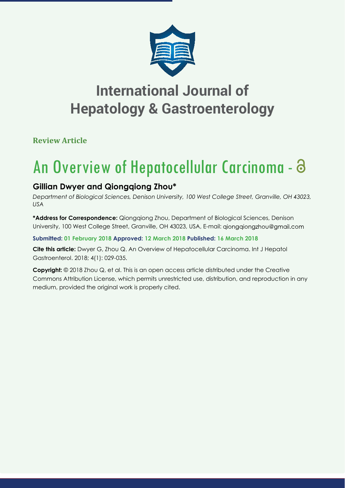

**Review Article**

# An Overview of Hepatocellular Carcinoma -

### **Gillian Dwyer and Qiongqiong Zhou\***

*Department of Biological Sciences, Denison University, 100 West College Street, Granville, OH 43023, USA*

**\*Address for Correspondence:** Qiongqiong Zhou, Department of Biological Sciences, Denison University, 100 West College Street, Granville, OH 43023, USA, E-mail: giongqiongzhou@gmail.com

#### **Submitted: 01 February 2018 Approved: 12 March 2018 Published: 16 March 2018**

**Cite this article:** Dwyer G, Zhou Q. An Overview of Hepatocellular Carcinoma. Int J Hepatol Gastroenterol. 2018; 4(1): 029-035.

**Copyright:** © 2018 Zhou Q, et al. This is an open access article distributed under the Creative Commons Attribution License, which permits unrestricted use, distribution, and reproduction in any medium, provided the original work is properly cited.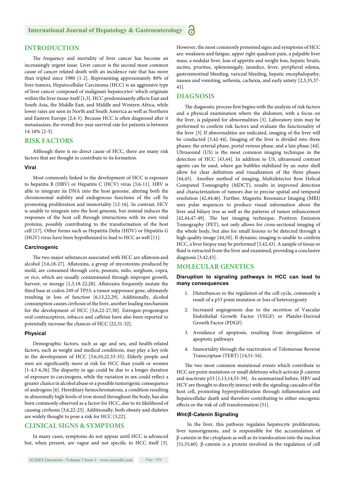#### **INTRODUCTION**

The frequency and mortality of liver cancer has become an increasingly urgent issue. Liver cancer is the second most common cause of cancer related death with an incidence rate that has more than tripled since 1980 [1-2]. Representing approximately 80% of liver tumors, Hepatocellular Carcinoma (HCC) is an aggressive type of liver cancer composed of malignant hepatocytes<sup>1</sup> which originate within the liver tissue itself  $[1,3]$ . HCC predominantly affects East and South Asia, the Middle East, and Middle and Western Africa, while lower rates are seen in North and South America as well as Northern and Eastern Europe [2,4-5]. Because HCC is often diagnosed after it metastasizes, the overall five-year survival rate for patients is between 14-18% [2-3].

#### **RISK FACTORS**

Although there is no direct cause of HCC, there are many risk factors that are thought to contribute to its formation.

#### **Viral**

Most commonly linked to the development of HCC is exposure to hepatitis B (HBV) or Hepatitis C (HCV) virus [3,6-11]. HBV is able to integrate its DNA into the host genome, altering both the chromosomal stability and endogenous functions of the cell by promoting proliferation and immortality [12-16]. In contrast, HCV is unable to integrate into the host genome, but instead induces the responses of the host cell through interactions with its own viral proteins, possibly contributing to the transformation of the host cell [17]. Other forms such as Hepatitis Delta (HDV) or Hepatitis G (HGV) virus have been hypothesized to lead to HCC as well [11].

#### **Carcinogenic**

The two major substances associated with HCC are aflatoxin and alcohol  $[3,6,18-27]$ . Aflatoxins, a group of mycotoxins produced by mold, are consumed through corn, peanuts, milo, sorghum, copra, or rice, which are usually contaminated through improper growth, harvest, or storage  $[1,3,18-22,28]$ . Aflatoxins frequently mutate the third base at codon 249 of TP53, a tumor suppressor gene, ultimately resulting in loss of function [6,13,22,29]. Additionally, alcohol consumption causes cirrhosis of the liver, another leading mechanism for the development of HCC [3,6,22-27,30]. Estrogen-progestogen oral contraceptives, tobacco and caffeine have also been reported to potentially increase the chances of HCC [22,31-32].

#### **Physical**

Demographic factors, such as age and sex, and health-related factors, such as weight and medical conditions, may play a key role in the development of HCC [3,6,10,22,33-35]. Elderly people and men are significantly more at risk for HCC than youth or women  $[1-4,5-6,36]$ . The disparity in age could be due to a longer duration of exposure to carcinogens, while the variation in sex could reflect a greater chance in alcohol abuse or a possible tumorigenic consequence of androgens [6]. Hereditary hemochromatosis, a condition resulting in abnormally high levels of iron stored throughout the body, has also been commonly observed as a factor for HCC, due to its likelihood of causing cirrhosis [3,6,22-23]. Additionally, both obesity and diabetes are widely thought to pose a risk for HCC [3,22].

#### **CLINICAL SIGNS & SYMPTOMS**

In many cases, symptoms do not appear until HCC is advanced but, when present, are vague and not specific to HCC itself [3]. However, the most commonly presented signs and symptoms of HCC are: weakness and fatigue, upper right quadrant pain, a palpable liver mass, a nodular liver, loss of appetite and weight loss, hepatic bruits, ascites, pruritus, splenomegaly, jaundice, fever, peripheral edema, gastrointestinal bleeding, variceal bleeding, hepatic encephalopathy, nausea and vomiting, asthenia, cachexia, and early satiety [2,3,35,37- 41].

#### **DIAGNOSIS**

The diagnostic process first begins with the analysis of risk factors and a physical examination where the abdomen, with a focus on the liver, is palpated for abnormalities [3]. Laboratory tests may be performed to confirm risk factors and evaluate the functionality of the liver [3]. If abnormalities are indicated, imaging of the liver will be conducted [3,42-44]. Imaging of the liver is divided into three phases: the arterial phase, portal venous phase, and a late phase [44]. Ultrasound (US) is the most common imaging technique in the detection of HCC [43,44]. In addition to US, ultrasound contrast agents can be used, where gas bubbles stabilized by an outer shell allow for clear definition and visualization of the three phases [44,45]. Another method of imaging, Multidetector Row Helical Computed Tomography (MDCT), results in improved detection and characterization of tumors due to precise spatial and temporal resolution [42,44,46]. Further, Magnetic Resonance Imaging (MRI) uses pulse sequences to produce visual information about the liver and biliary tree as well as the patterns of tumor enhancement [42,44,47-49]. The last imaging technique, Positron Emission Tomography (PET), not only allows for cross-sectional imaging of the whole body, but also for small lesions to be detected through a high quality image [44,50]. If dynamic imaging is unable to confirm HCC, a liver biopsy may be performed [3,42,43]. A sample of tissue or fluid is extracted from the liver and examined, providing a conclusive diagnosis [3,42,43].

#### **MOLECULAR GENETICS**

**Disruption to signaling pathways in HCC can lead to many consequences**

- 1. Disturbances to the regulation of the cell cycle, commonly a result of a p53 point mutation or loss of heterozygosity
- 2. Increased angiogenesis due to the secretion of Vascular Endothelial Growth Factor (VEGF) or Platelet-Derived Growth Factor (PDGF)
- 3. Avoidance of apoptosis, resulting from deregulation of apoptotic pathways
- 4. Immortality through the reactivation of Telomerase Reverse Transcriptase (TERT) [14,51-54].

The two most common mutational events which contribute to HCC are point mutations or small deletions which activate β-catenin and inactivate p53 [1,13,14,55-59]. As summarized before, HBV and HCV are thought to directly interact with the signaling cascades of the host cell, promoting hyperproliferation through inflammation and hepatocellular death and therefore contributing to either oncogenic effects or the risk of cell transformation [51].

#### *Wnt/β***-Catenin Signaling**

In the liver, this pathway regulates hepatocyte proliferation, liver tumorigenesis, and is responsible for the accumulation of β-catenin in the cytoplasm as well as its translocation into the nucleus [51,55,60]. β-catenin is a protein involved in the regulation of cell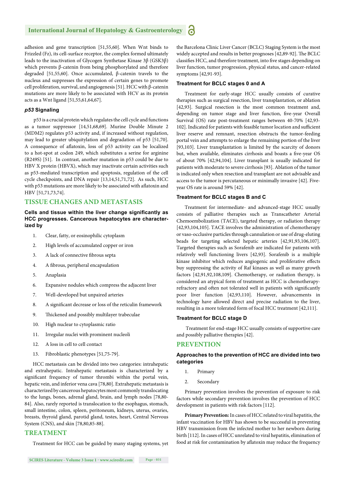adhesion and gene transcription [51,55,60]. When Wnt binds to Frizzled (Fz), its cell-surface receptor, the complex formed ultimately leads to the inactivation of Glycogen Synthetase Kinase 3β (GSK3β) which prevents β-catenin from being phosphorylated and therefore degraded [51,55,60]. Once accumulated, β-catenin travels to the nucleus and suppresses the expression of certain genes to promote cell proliferation, survival, and angiogenesis [51]. HCC with β-catenin mutations are more likely to be associated with HCV as its protein acts as a Wnt ligand [51,55,61,64,67].

#### *p53* **Signaling**

 p53 is a crucial protein which regulates the cell cycle and functions as a tumor suppressor [14,51,68,69]. Murine Double Minute 2 (MDM2) regulates p53 activity and, if increased without regulation, may lead to greater ubiquitylation and degradation of p53 [51,70]. A consequence of aflatoxin, loss of p53 activity can be localized to a hot-spot at codon 249, which substitutes a serine for arginine (R249S) [51]. In contrast, another mutation in p53 could be due to HBV X protein (HBVX), which may inactivate certain activities such as p53-mediated transcription and apoptosis, regulation of the cell cycle checkpoints, and DNA repair [13,14,51,71,72]. As such, HCC with p53 mutations are more likely to be associated with aflatoxin and HBV [51,71,73,74].

#### **TISSUE CHANGES AND METASTASIS**

#### **Cells and tissue within the liver change significantly as HCC progresses. Cancerous hepatocytes are characterized by**

- 1. Clear, fatty, or eosinophilic cytoplasm
- 2. High levels of accumulated copper or iron
- 3. A lack of connective fibrous septa
- 4. A fibrous, peripheral encapsulation
- 5. Anaplasia
- 6. Expansive nodules which compress the adjacent liver
- 7. Well-developed but unpaired arteries
- 8. A significant decrease or loss of the reticulin framework
- 9. Thickened and possibly multilayer trabeculae
- 10. High nuclear to cytoplasmic ratio
- 11. Irregular nuclei with prominent nucleoli
- 12. A loss in cell to cell contact
- 13. Fibroblastic phenotypes [51,75-79].

HCC metastasis can be divided into two categories: intrahepatic and extrahepatic. Intrahepatic metastasis is characterized by a significant frequency of tumor thrombi within the portal vein, hepatic vein, and inferior vena cava [78,80]. Extrahepatic metastasis is characterized by cancerous hepatocytes most commonly translocating to the lungs, bones, adrenal gland, brain, and lymph nodes [78,80- 84]. Also, rarely reported is translocation to the esophagus, stomach, small intestine, colon, spleen, peritoneum, kidneys, uterus, ovaries, breasts, thyroid gland, parotid gland, testes, heart, Central Nervous System (CNS), and skin [78,80,85-88].

#### **TREATMENT**

Treatment for HCC can be guided by many staging systems, yet

the Barcelona Clinic Liver Cancer (BCLC) Staging System is the most widely accepted and results in better prognoses [42,89-92]. The BCLC classifies HCC, and therefore treatment, into five stages depending on liver function, tumor progression, physical status, and cancer-related symptoms [42,91-93].

#### **Treatment for BCLC stages 0 and A**

Treatment for early-stage HCC usually consists of curative therapies such as surgical resection, liver transplantation, or ablation [42,93]. Surgical resection is the most common treatment and, depending on tumor stage and liver function, five-year Overall Survival (OS) rate post-treatment ranges between 40-70% [42,93- 102]. Indicated for patients with feasible tumor location and sufficient liver reserve and remnant, resection obstructs the tumor-feeding portal vein and attempts to enlarge the remaining portion of the liver [93,103]. Liver transplantation is limited by the scarcity of donors but, when available, eliminates cirrhosis and boasts a five-year OS of about 70% [42,94,104]. Liver transplant is usually indicated for patients with moderate to severe cirrhosis [93]. Ablation of the tumor is indicated only when resection and transplant are not advisable and access to the tumor is percutaneous or minimally invasive [42]. Fiveyear OS rate is around 59% [42].

#### **Treatment for BCLC stages B and C**

Treatment for intermediate- and advanced-stage HCC usually consists of palliative therapies such as Transcatheter Arterial Chemoembolization (TACE), targeted therapy, or radiation therapy [42,93,104,105]. TACE involves the administration of chemotherapy or vaso-occlusive particles through cannulation or use of drug-eluting beads for targeting selected hepatic arteries [42,91,93,106,107]. Targeted therapies such as Sorafenib are indicated for patients with relatively well functioning livers [42,93]. Sorafenib is a multiple kinase inhibitor which reduces angiogenic and proliferative effects buy suppressing the activity of Raf kinases as well as many growth factors [42,91,92,108,109]. Chemotherapy, or radiation therapy, is considered an atypical form of treatment as HCC is chemotherapyrefractory and often not tolerated well in patients with significantly poor liver function [42,93,110]. However, advancements in technology have allowed direct and precise radiation to the liver, resulting in a more tolerated form of focal HCC treatment [42,111].

#### **Treatment for BCLC stage D**

Treatment for end-stage HCC usually consists of supportive care and possibly palliative therapies [42].

#### **PREVENTION**

#### **Approaches to the prevention of HCC are divided into two categories**

- 1. Primary
- 2. Secondary

Primary prevention involves the prevention of exposure to risk factors while secondary prevention involves the prevention of HCC development in patients with risk factors [112].

**Primary Prevention:** In cases of HCC related to viral hepatitis, the infant vaccination for HBV has shown to be successful in preventing HBV transmission from the infected mother to her newborn during birth [112]. In cases of HCC unrelated to viral hepatitis, elimination of food at risk for contamination by aflatoxin may reduce the frequency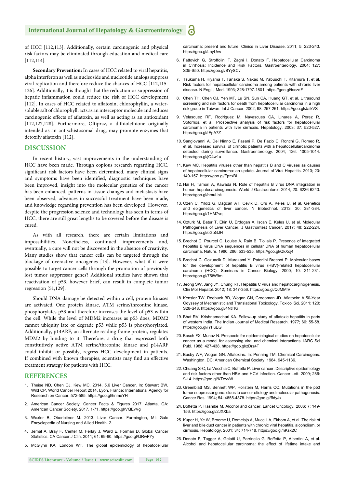of HCC [112,113]. Additionally, certain carcinogenic and physical risk factors may be eliminated through education and medical care [112,114].

**Secondary Prevention:** In cases of HCC related to viral hepatitis, alpha interferon as well as nucleoside and nucleotide analogs suppress viral replication and therefore reduce the chances of HCC [112,115- 126]. Additionally, it is thought that the reduction or suppression of hepatic inflammation could reduce the risk of HCC development [112]. In cases of HCC related to aflatoxin, chlorophyllin, a watersoluble salt of chlorophyll, acts as an interceptor molecule and reduces carcinogenic effects of aflatoxin, as well as acting as an antioxidant [112,127,128]. Furthermore, Oltipraz, a dithiolethione originally intended as an antischistosomal drug, may promote enzymes that detoxify aflatoxin [112].

#### **DISCUSSION**

In recent history, vast improvements in the understanding of HCC have been made. Through copious research regarding HCC, significant risk factors have been determined, many clinical signs and symptoms have been identified, diagnostic techniques have been improved, insight into the molecular genetics of the cancer has been enhanced, patterns in tissue changes and metastasis have been observed, advances in successful treatment have been made, and knowledge regarding prevention has been developed. However, despite the progression science and technology has seen in terms of HCC, there are still great lengths to be covered before the disease is cured.

As with all research, there are certain limitations and impossibilities. Nonetheless, continued improvements and, eventually, a cure will not be discovered in the absence of creativity. Many studies show that cancer cells can be targeted through the blockage of overactive oncogenes [13]. However, what if it were possible to target cancer cells through the promotion of previously lost tumor suppressor genes? Additional studies have shown that reactivation of p53, however brief, can result in complete tumor regression [51,129].

Should DNA damage be detected within a cell, protein kinases are activated. One protein kinase, ATM serine/threonine kinase, phosphorylates p53 and therefore increases the level of p53 within the cell. While the level of MDM2 increases as p53 does, MDM2 cannot ubiquity late or degrade p53 while p53 is phosphorylated. Additionally, p14ARF, an alternate reading frame protein, regulates MDM2 by binding to it. Therefore, a drug that expressed both constitutively active ATM serine/threonine kinase and p14ARF could inhibit or possibly, regress HCC development in patients. If combined with known therapies, scientists may find an effective treatment strategy for patients with HCC.

#### **REFERENCES**

- 1. Theise ND, Chen CJ, Kew MC. 2014. 5.6 Liver Cancer. In: Stewart BW, Wild CP. World Cancer Report 2014. Lyon, France: International Agency for Research on Cancer. 572-585. https://goo.gl/hnmeYH
- 2. American Cancer Society. Cancer Facts & Figures 2017. Atlanta. GA: American Cancer Society. 2017. 1-71. https://goo.gl/VQEvVg
- 3. Wexler B, Oberleitner M. 2013. Liver Cancer. Farmington, MI: Gale Encyclopedia of Nursing and Allied Health. 2.
- 4. Jemal A, Bray F, Center M, Ferlay J, Ward E, Forman D. Global Cancer Statistics. CA Cancer J Clin. 2011; 61: 69-90. https://goo.gl/QRwFYy

carcinoma: present and future. Clinics in Liver Disease. 2011; 5: 223-243. https://goo.gl/LnyUrw

- 6. Fattovich G, Stroffolini T, Zagni I, Donato F. Hepatocellular Carcinoma in Cirrhosis: Incidence and Risk Factors. Gastroenterology. 2004; 127: S35-S50. https://goo.gl/BYySCv
- 7. Tsukuma H, Hiyama T, Tanaka S, Nakao M, Yabuuchi T, Kitamura T, et al. Risk factors for hepatocellular carcinoma among patients with chronic liver disease. N Engl J Med. 1993; 328:1797-1801. https://goo.gl/fsczdF
- 8. Chen TH, Chen CJ, Yen MF, Lu SN, Sun CA, Huang GT, et al. Ultrasound screening and risk factors for death from hepatocellular carcinoma in a high risk group in Taiwan. Int J Cancer. 2002; 98: 257-261. https://goo.gl/JaikVS
- 9. Velasquez RF, Rodriguez M, Navascues CA, Linares A, Perez R, Sotorrios, et al. Prospective analysis of risk factors for hepatocellular carcinoma in patients with liver cirrhosis. Hepatology. 2003; 37: 520-527. https://goo.gl/tEpA7Z
- 10. Sangiovanni A, Del Ninno E, Fasani P, De Fazio C, Ronchi G, Romeo R, et al. Increased survival of cirrhotic patients with a hepatocellularcarcinoma detected during surveillance. Gastroenterology. 2004; 126: 1005-1014. https://goo.gl/jQ4w1u
- 11. Kew MC. Hepatitis viruses other than hepatitis B and C viruses as causes of hepatocellular carcinoma: an update. Journal of Viral Hepatitis. 2013; 20: 149-157. https://goo.gl/FpzxBi
- 12. Hai H, Tamori A, Kawada N. Role of hepatitis B virus DNA integration in human hepatocarcinogenesis. World J Gastroenterol. 2014; 20: 6236-6243. https://goo.gl/hmuLbk
- 13. Ozen C, Yildiz G, Dagcan AT, Cevik D, Ors A, Keles U, et al. Genetics and epigenetics of liver cancer. N Biotechnol. 2013; 30: 381-384. https://goo.gl/1HM7vq
- 14. Ozturk M, Batur T, Ekin U, Erdogan A, Iscan E, Keles U, et al. Molecular Pathogenesis of Liver Cancer. J Gastrointest Cancer. 2017; 48: 222-224. https://goo.gl/cGoGJH
- 15. Brechot C, Pourcel C, Louise A, Rain B, Tiollais P. Presence of integrated hepatitis B virus DNA sequences in cellular DNA of human hepatocellular carcinoma. Nature. 1980; 286: 533-535. https://goo.gl/QkXqj4
- 16. Brechot C, Gozuacik D, Murakami Y, Paterlini Brechot P. Molecular bases for the development of hepatitis B virus (HBV)-related hepatocellular carcinoma (HCC). Seminars in Cancer Biology. 2000; 10: 211-231. https://goo.gl/75tW9m
- 17. Jeong SW, Jang JY, Chung RT. Hepatitis C virus and hepatocarginogenesis. Clin Mol Hepatol. 2012; 18: 347-356. https://goo.gl/QJMMfV
- 18. Kensler TW, Roebuck BD, Wogan GN, Groopman JD. Aflatoxin: A 50-Year Odyssey of Mechanistic and Translational Toxicology. Toxicol Sci. 2011; 120: S28-S48. https://goo.gl/4NtTKi
- 19. Bhat RV, Krishnamachari KA. Follow-up study of aflatoxic hepatitis in parts of western India. The Indian Journal of Medical Research. 1977; 66: 55-58. https://goo.gl/iYFuEG
- 20. Bosch FX, Munoz N. Prospects for epidemiological studies on hepatocellular cancer as a model for assessing viral and chemical interactions. IARC Sci Publ. 1988; 427-438. https://goo.gl/zDrz4T
- 21. Busby WF, Wogan GN. Aflatoxins. In: Penning TM. Chemical Carcinogens. Washington, DC: American Chemical Society. 1984. 945-1136.
- 22. Chuang S-C, La Vecchia C, Boffetta P. Liver cancer: Descriptive epidemiology and risk factors other than HBV and HCV infection. Cancer Lett. 2009; 286: 9-14. https://goo.gl/KTevvW
- 23. Greenblatt MS, Bennett WP, Hollstein M, Harris CC. Mutations in the p53 tumor suppressor gene: clues to cancer etiology and molecular pathogenesis. Cancer Res. 1994; 54: 4855-4878. https://goo.gl/ffdyJx
- 24. Boffetta P, Hashibe M. Alcohol and cancer. Lancet Oncology. 2006; 7: 149- 156. https://goo.gl/2JXXba
- 25. Kuper H, Ye W, Broome U, Romelsjo A, Mucci LA, Ekbom A, et al. The risk of liver and bile duct cancer in patients with chronic viral hepatitis, alcoholism, or cirrhosis. Hepatology. 2001; 34: 714-718. https://goo.gl/nKsx2C
- 26. Donato F, Tagger A, Gelatti U, Parrinello G, Boffetta P, Albertini A, et al. Alcohol and hepatocellular carcinoma: the effect of lifetime intake and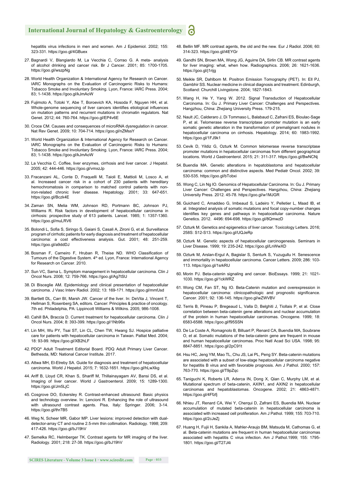hepatitis virus infections in men and women. Am J Epidemiol. 2002; 155: 323-331. https://goo.gl/4GBuex

- 27. Bagnardi V, Blangiardo M, La Vecchia C, Corrao G. A meta- analysis of alcohol drinking and cancer risk. Br J Cancer. 2001; 85: 1700-1705. https://goo.gl/wszpNg
- 28. World Health Organization & International Agency for Research on Cancer. IARC Monographs on the Evaluation of Carcinogenic Risks to Humans: Tobacco Smoke and Involuntary Smoking. Lyon, France: IARC Press. 2004; 83; 1-1438. https://goo.gl/kJmAoW
- 29. Fujimoto A, Totoki Y, Abe T, Boroevich KA, Hosoda F, Nguyen HH, et al. Whole-genome sequencing of liver cancers identifies etiological influences on mutation patterns and recurrent mutations in chromatin regulators. Nat Genet. 2012; 44: 760-764. https://goo.gl/EP4v6E
- 30. Croce CM. Causes and consequences of microRNA dysregulation in cancer. Nat Rev Genet. 2009; 10: 704-714. https://goo.gl/nZMssY
- 31. World Health Organization & International Agency for Research on Cancer. IARC Monographs on the Evaluation of Carcinogenic Risks to Humans: Tobacco Smoke and Involuntary Smoking. Lyon, France: IARC Press. 2004; 83; 1-1438. https://goo.gl/kJmAoW
- 32. La Vecchia C. Coffee, liver enzymes, cirrhosis and liver cancer. J Hepatol. 2005; 42: 444-446. https://goo.gl/vmxzJp
- 33. Fracanzani AL, Conte D, Fraquelli M, Taioli E, Mattioli M, Losco A, et al. Increased cancer risk in a cohort of 230 patients with hereditary hemochromatosis in comparison to matched control patients with noniron-related chronic liver disease. Hepatology. 2001; 33: 647-651. https://goo.gl/Bczk4E
- 34. Zaman SN, Melia WM, Johnson RD, Portmann BC, Johnson PJ, Williams R. Risk factors in development of hepatocellular carcinoma in cirrhosis: prospective study of 613 patients. Lancet. 1985; 1: 1357-1360. https://goo.gl/muLRV6
- 35. Bolondi L, Sofia S, Siringo S, Gaiani S, Casali A, Zironi G, et al. Surveillance program of cirrhotic patients for early diagnosis and treatment of hepatocellular carcinoma: a cost effectiveness analysis. Gut. 2001; 48: 251-259. https://goo.gl/a9ddDJ
- 36. Bosman F, Carneiro F, Hruban R, Theise ND. WHO Classification of Tumours of the Digestive System. 4<sup>th</sup> ed. Lyon, France: International Agency for Research on Cancer. 2010.
- 37. Sun VC, Sarna L. Symptom management in hepatocellular carcinoma. Clin J Oncol Nurs. 2008; 12: 759-766. https://goo.gl/Ag7tSU
- 38. Di Bisceglie AM. Epidemiology and clinical presentation of hepatocellular carcinoma. J Vasc Interv Radiol. 2002; 13: 169-171. https://goo.gl/mmfJsd
- 39. Bartlett DL, Carr BI, Marsh JW. Cancer of the liver. In: DeVita J, Vincent T, Hellman S, Rosenberg SA, editors. Cancer: Principles & practice of oncology. 7th ed. Philadelphia, PA: Lippincott Williams & Wilkins. 2005; 986-1008.
- 40. Cahill BA, Braccia D. Current treatment for hepatocellular carcinoma. Clin J Oncol Nurs. 2004; 8: 393-399. https://goo.gl/1Nb96x
- 41. Lin MH, Wu PY, Tsai ST, Lin CL, Chen TW, Hwang SJ. Hospice palliative care for patients with hepatocellular carcinoma in Taiwan. Palliat Med. 2004; 18: 93-99. https://goo.gl/XB2hLF
- 42. PDQ® Adult Treatment Editorial Board. PDQ Adult Primary Liver Cancer. Bethesda, MD: National Cancer Institute. 2017.
- 43. Attwa MH, El-Etreby SA. Guide for diagnosis and treatment of hepatocellular carcinoma. World J Hepatol. 2015; 7: 1632-1651. https://goo.gl/hLwXkg
- 44. Ariff B, Lloyd CR, Khan S, Shariff M, Thillainayagam AV, Bansi DS, et al. Imaging of liver cancer. World J Gastroenterol. 2009; 15: 1289-1300. https://goo.gl/Jm5LjC
- 45. Cosgrove DO, Eckersley R. Contrast-enhanced ultrasound: Basic physics and technology overview. In: Lencioni R. Enhancing the role of ultrasound with ultrasound contrast agents. Pisa, Italy: Springer. 2006; 3-14. https://goo.gl/thr7B5
- 46. Weg N, Scheer MR, Gabor MP. Liver lesions: improved detection with dualdetector-array CT and routine 2.5-mm thin collimation. Radiology. 1998; 209: 417-426. https://goo.gl/bJ19hV
- 47. Semelka RC, Helmberger TK. Contrast agents for MR imaging of the liver. Radiology. 2001; 218: 27-38. https://goo.gl/bJ19hV
- 48. Bellin MF. MR contrast agents, the old and the new. Eur J Radiol. 2006; 60: 314-323. https://goo.gl/i4EYGr
- 49. Gandhi SN, Brown MA, Wong JG, Aguirre DA, Sirlin CB. MR contrast agents for liver imaging: what, when how. Radiographics. 2006; 26: 1621-1636. https://goo.gl/j1rijg
- 50. Meikle SR, Dahlbom M. Positron Emission Tomography (PET). In: Ell PJ, Gambhir SS. Nuclear medicine in clinical diagnosis and treatment. Edinburgh, Scotland: Churchill Livingstone. 2004; 1827-1843.
- 51. Wang H, He Y, Yang W. 2012. Signal Transduction of Hepatocellular Carcinoma. In: Gu J. Primary Liver Cancer: Challenges and Perspectives. Hangzhou, China: Zhejiang University Press. 179-215.
- 52. Nault JC, Calderaro J, Di Tommaso L, Balabaud C, Zafrani ES, Bioulac-Sage P, et al. Telomerase reverse transcriptase promoter mutation is an early somatic genetic alteration in the transformation of premalignant nodules in hepatocellular carcinoma on cirrhosis. Hepatology. 2014; 60: 1983-1992. https://goo.gl/1FJ9k1
- 53. Cevik D, Yildiz G, Ozturk M. Common telomerase reverse transcriptase promoter mutations in hepatocellular carcinomas from different geographical locations. World J Gastroenterol. 2015; 21: 311-317. https://goo.gl/BwNCNj
- 54. Buendia MA. Genetic alterations in hepatoblastoma and hepatocellular carcinoma: common and distinctive aspects. Med Pediatr Oncol. 2002; 39: 530-535. https://goo.gl/bTobxi
- 55. Wong C, Lin Ng IO. Genomics of Hepatocellular Carcinoma. In: Gu J. Primary Liver Cancer: Challenges and Perspectives. Hangzhou, China: Zhejiang University Press. 2012. 45-78. https://goo.gl/w1MJGR
- 56. Guichard C, Amaddeo G, Imbeaud S, Ladeiro Y, Pelletier L, Maad IB, et al. Integrated analysis of somatic mutations and focal copy-number changes identifies key genes and pathways in hepatocellular carcinoma. Nature Genetics. 2012. 4496: 694-698. https://goo.gl/8QmwzD
- 57. Ozturk M. Genetics and epigenetics of liver cancer. Toxicology Letters. 2016; 258S: S12-S13. https://goo.gl/UQJeRp
- 58. Ozturk M. Genetic aspects of hepatocellular carcinogenesis. Seminars in Liver Disease. 1999; 19: 235-242. https://goo.gl/LnWwXD
- 59. Ozturk M, Arslan-Ergul A, Bagislar S, Senturk S, Yuzugullu H. Senescence and immortality in hepatocellular carcinoma. Cancer Letters. 2009; 286: 103- 113. https://goo.gl/1srkRU
- 60. Morin PJ. Beta-catenin signaling and cancer. BioEssays. 1999; 21: 1021- 1030. https://goo.gl/1ckWRZ
- 61. Wong CM, Fan ST, Ng IO. Beta-Catenin mutation and overexpression in hepatocellular carcinoma: clinicopathologic and prognostic significance. Cancer. 2001; 92: 136-145. https://goo.gl/wZWVBV
- 62. Terris B, Pineau P, Bregeaud L, Valla D, Belghiti J, Tiollais P, et al. Close correlation between beta-catenin gene alterations and nuclear accumulation of the protein in human hepatocellular carcinomas. Oncogene. 1999; 18: 6583-6588. https://goo.gl/f95SSN
- 63. De La Coste A, Romagnolo B, Billuart P, Renard CA, Buendia MA, Soubrane O, et al. Somatic mutations of the beta-catenin gene are frequent in mouse and human hepatocellular carcinomas. Proc Natl Acad Sci USA. 1998; 95: 8847-8851. https://goo.gl/2pC91t
- 64. Hsu HC, Jeng YM, Mao TL, Chu JS, Lai PL, Peng SY. Beta-catenin mutations are associated with a subset of low-stage hepatocellular carcinoma negative for hepatitis B virus and with favorable prognosis. Am J Pathol. 2000; 157: 763-770. https://goo.gl/T9pZqc
- 65. Taniguchi K, Roberts LR, Aderca IN, Dong X, Qian C, Murphy LM, et al. Mutational spectrum of beta-catenin, AXIN1, and AXIN2 in hepatocellular carcinomas and hepatoblastomas. Oncogene. 2002; 21: 4863-4871. https://goo.gl/4Ffzfj
- 66. Nhieu JT, Renard CA, Wei Y, Cherqui D, Zafrani ES, Buendia MA. Nuclear accumulation of mutated beta-catenin in hepatocellular carcinoma is associated with increased cell proliferation. Am J Pathol. 1999; 155: 703-710. https://goo.gl/2cJeZj
- 67. Huang H, Fujii H, Sankila A, Mahler-Araujo BM, Matsuda M, Cathomas G, et al. Beta-catenin mutations are frequent in human hepatocellular carcinomas associated with hepatitis C virus infection. Am J Pathol.1999; 155: 1795- 1801. https://goo.gl/T27J4i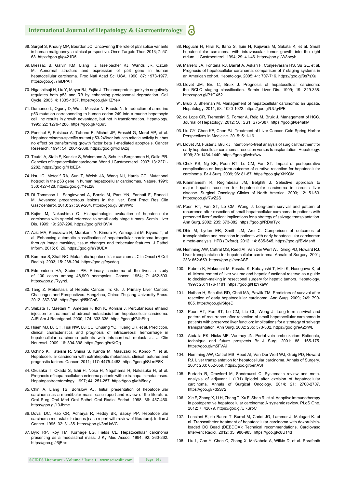- 68. Surget S, Khoury MP, Bourdon JC. Uncovering the role of p53 splice variants in human malignancy: a clinical perspective. Onco Targets Ther. 2013; 7: 57- 68. https://goo.gl/g421D5
- 69. Bressac B, Galvin KM, Liang TJ, Isselbacher KJ, Wands JR, Ozturk M. Abnormal structure and expression of p53 gene in human hepatocellular carcinoma. Proc Natl Acad Sci USA. 1990; 87: 1973-1977. https://goo.gl/7mDPAH
- 70. Higashitsuji H, Liu Y, Mayer RJ, Fujita J. The oncoprotein gankyrin negatively regulates both p53 and RB by enhancing proteasomal degradation. Cell Cycle. 2005; 4: 1335-1337. https://goo.gl/kHZYeK
- 71. Dumenco L, Oguey D, Wu J, Messier N, Fausto N. Introduction of a murine p53 mutation corresponding to human codon 249 into a murine hepatocyte cell line results in growth advantage, but not in transformation. Hepatology. 1995; 22: 1279-1288. https://goo.gl/7q3u5i
- 72. Ponchel F, Puisieux A, Tabone E, Michot JP, Froschl G, Morel AP, et al. Hepatocarcinoma-specific mutant p53-249ser induces mitotic activity but has no effect on transforming growth factor beta 1-mediated apoptosis. Cancer Research. 1994; 54: 2064-2068. https://goo.gl/4oHAzq
- 73. Teufel A, Staib F, Kanzler S, Weinmann A, Schulze-Bergkamen H, Galle PR. Genetics of hepatocellular carcinoma. World J Gastroenterol. 2007; 13: 2271- 2282. https://goo.gl/rHxEE4
- 74. Hsu IC, Metcalf RA, Sun T, Welsh JA, Wang NJ, Harris CC. Mutational hotspot in the p53 gene in human hepatocellular carcinomas. Nature. 1991; 350: 427-428. https://goo.gl/YeLt28
- 75. Di Tommaso L, Sangiovanni A, Borzio M, Park YN, Farinati F, Roncalli M. Advanced precancerous lesions in the liver. Best Pract Res Clin Gastroenterol. 2013; 27: 269-284. https://goo.gl/iSnWWo
- 76. Kojiro M, Nakashima O. Histopathologic evaluation of hepatocellular carcinoma with special reference to small early stage tumors. Semin Liver Dis. 1999; 19: 287-296. https://goo.gl/kH3ViX
- 77. Aziz MA, Kanazawa H, Murakami Y, Kimura F, Yamaguchi M, Kiyuna T, et al. Enhancing automatic classification of hepatocellular carcinoma images through image masking, tissue changes and trabecular features. J Pathol Inform. 2015; 6: 26. https://goo.gl/eY8UEX
- 78. Kummar S, Shafi NQ. Metastatic hepatocellular carcinoma. Clin Oncol (R Coll Radiol). 2003; 15: 288-294. https://goo.gl/eycdoq
- 79. Edmondson HA, Steiner PE. Primary carcinoma of the liver: a study of 100 cases among 48,900 necropsies. Cancer. 1954; 7: 462-503. https://goo.gl/RyyrzL
- 80. Tang Z. Metastasis of Hepatic Cancer. In: Gu J. Primary Liver Cancer: Challenges and Perspectives. Hangzhou, China: Zhejiang University Press. 2012. 367-398. https://goo.gl/i5KChS
- 81. Shibata T, Maetani Y, Ametani F, Itoh K, Konishi J. Percutaneous ethanol injection for treatment of adrenal metastasis from hepatocellular carcinoma. AJR Am J Roentgenol. 2000; 174: 333-335. https://goo.gl/7JhEhq
- 82. Hsieh MJ, Lu CH, Tsai NW, Lui CC, Chuang YC, Huang CR, et al. Prediction, clinical characteristics and prognosis of intracerebral hemorrhage in hepatocellular carcinoma patients with intracerebral metastasis. J Clin Neurosci. 2009; 16: 394-398. https://goo.gl/rrKtQq
- 83. Uchino K, Tateishi R, Shiina S, Kanda M, Masuzaki R, Kondo Y, et al. Hepatocellular carcinoma with extrahepatic metastasis: clinical features and prognostic factors. Cancer. 2011; 117: 4475-4483. https://goo.gl/SLmE8K
- 84. Okusaka T, Okada S, Ishii H, Nose H, Nagahama H, Nakasuka H, et al. Prognosis of hepatocellular carcinoma patients with extrahepatic metastases. Hepatogastroenterology. 1997; 44: 251-257. https://goo.gl/aM5aay
- 85. Chin A, Liang TS, Borislow AJ. Initial presentation of hepatocellular carcinoma as a mandibular mass: case report and review of the literature. Oral Surg Oral Med Oral Pathol Oral Radiol Endod. 1998; 86: 457-460. https://goo.gl/13Jbme
- 86. Doval DC, Rao CR, Acharya R, Reddy BK, Bapsy PP. Hepatocellular carcinoma metastatic to bones (case report with review of literature). Indian J Cancer. 1995; 32: 31-35. https://goo.gl/3mUxVC
- 87. Byrd RP, Roy TM, Korhage LG, Fields CL. Hepatocellular carcinoma presenting as a mediastinal mass. J Ky Med Assoc. 1994; 92: 260-262. https://goo.gl/t6jEhx
- 88. Noguchi H, Hirai K, Itano S, Ijuin H, Kajiwara M, Sakata K, et al. Small hepatocellular carcinoma with intravascular tumor growth into the right atrium. J Gastroenterol. 1994; 29: 41-46. https://goo.gl/W8oeyb
- 89. Marrero JA, Fontana RJ, Barrat A, Askari F, Conjeevaram HS, Su GL, et al. Prognosis of hepatocellular carcinoma: comparison of 7 staging systems in an American cohort. Hepatology. 2005; 41: 707-716. https://goo.gl/9s7sXu
- 90. Llovet JM, Bru C, Bruix J. Prognosis of hepatocellular carcinoma: the BCLC staging classification. Semin Liver Dis. 1999; 19: 329-338. https://goo.gl/P1GX52
- 91. Bruix J, Sherman M. Management of hepatocellular carcinoma: an update. Hepatology. 2011; 53: 1020-1022. https://goo.gl/UUg4PE
- 92. de Lope CR, Tremosini S, Forner A, Reig M, Bruix J. Management of HCC. Journal of Hepatology. 2012; 56: SS1: S75-S87. https://goo.gl/8e4akM
- 93. Liu CY, Chen KF, Chen PJ. Treatment of Liver Cancer. Cold Spring Harbor Perspectives in Medicine. 2015; 5: 1-16.
- 94. Llovet JM, Fuster J, Bruix J. Intention-to-treat analysis of surgical treatment for early hepatocellular carcinoma: resection versus transplantation. Hepatology. 1999; 30: 1434-1440. https://goo.gl/wbxfww
- 95. Chok KS, Ng KK, Poon RT, Lo CM, Fan ST. Impact of postoperative complications on long-term outcome of curative resection for hepatocellular carcinoma. Br J Surg. 2009; 96: 81-87. https://goo.gl/gXhKQM
- 96. Kianmanesh R, Regimbeau JM, Belghiti J. Selective approach to major hepatic resection for hepatocellular carcinoma in chronic liver disease. Surgical Oncology Clinics of North America. 2003; 12: 51-63. https://goo.gl/f7wZ2S
- 97. Poon RT, Fan ST, Lo CM, Wong J. Long-term survival and pattern of recurrence after resection of small hepatocellular carcinoma in patients with preserved liver function: implications for a strategy of salvage transplantation. Ann Surg. 2002; 235: 373-382. https://goo.gl/RDmTyx
- 98. Dhir M, Lyden ER, Smith LM, Are C. Comparison of outcomes of transplantation and resection in patients with early hepatocellular carcinoma: a meta-analysis. HPB (Oxford). 2012; 14: 635-645. https://goo.gl/BVMsn8
- 99. Hemming AW, Cattral MS, Reed AI, Van Der Werf WJ, Greig PD, Howard RJ. Liver transplantation for hepatocellular carcinoma. Annals of Surgery. 2001; 233: 652-659. https://goo.gl/benASF
- 100. Kubota K, Makuuchi M, Kusaka K, Kobayashi T, Miki K, Hasegawa K, et al. Measurement of liver volume and hepatic functional reserve as a guide to decision-making in resectional surgery for hepatic tumors. Hepatology. 1997; 26: 1176-1181. https://goo.gl/HzYkaW
- 101. Nathan H, Schulick RD, Choti MA, Pawlik TM. Predictors of survival after resection of early hepatocellular carcinoma. Ann Surg. 2009; 249: 799- 805. https://goo.gl/r6fgeD
- 102. Poon RT, Fan ST, Lo CM, Liu CL, Wong J. Long-term survival and pattern of recurrence after resection of small hepatocellular carcinoma in patients with preserved liver function: Implications for a strategy of salvage transplantation. Ann Surg. 2002; 235: 373-382. https://goo.gl/eAZxWL
- 103. Abdalla EK, Hicks ME, Vauthey JN. Portal vein embolization: Rationale, technique and future prospects Br J Surg. 2001; 88: 165-175. https://goo.gl/m5FVAi
- 104. Hemming AW, Cattral MS, Reed AI, Van Der Werf WJ, Greig PD, Howard RJ. Liver transplantation for hepatocellular carcinoma. Annals of Surgery. 2001; 233: 652-659. https://goo.gl/benASF
- 105. Furtado R, Crawford M, Sandroussi C. Systematic review and metaanalysis of adjuvant I (131) lipiodol after excision of hepatocellular carcinoma. Annals of Surgical Oncology. 2014; 21: 2700-2707. https://goo.gl/7d5S72
- 106. Xie F, Zhang X, Li H, Zheng T, Xu F, Shen R, et al. Adoptive immunotherapy in postoperative hepatocellular carcinoma: A systemic review. PLoS One. 2012; 7: 42879. https://goo.gl/URSrbC
- 107. Lencioni R, de Baere T, Burrel M, Caridi JG, Lammer J, Malagari K. et al. Transcatheter treatment of hepatocellular carcinoma with doxorubicinloaded DC Bead (DEBDOX): Technical recommendations. Cardiovasc Intervent Radiol. 2012; 35: 980-985. https://goo.gl/c8U14d
- 108. Liu L, Cao Y, Chen C, Zhang X, McNabola A, Wilkie D, et al. Sorafenib